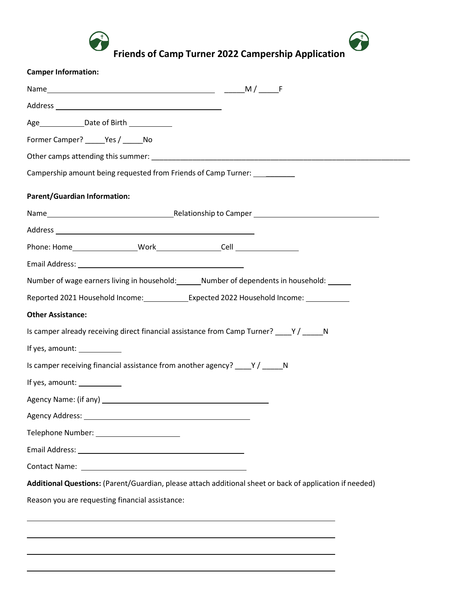

**Friends of Camp Turner 2022 Campership Application**

Î

| <b>Camper Information:</b>                      |                                                                                                          |
|-------------------------------------------------|----------------------------------------------------------------------------------------------------------|
|                                                 |                                                                                                          |
|                                                 |                                                                                                          |
| Age _______________Date of Birth ______________ |                                                                                                          |
| Former Camper? ______Yes / ______ No            |                                                                                                          |
|                                                 |                                                                                                          |
|                                                 | Campership amount being requested from Friends of Camp Turner: ___________                               |
| <b>Parent/Guardian Information:</b>             |                                                                                                          |
|                                                 |                                                                                                          |
|                                                 |                                                                                                          |
|                                                 |                                                                                                          |
|                                                 |                                                                                                          |
|                                                 | Number of wage earners living in household: Mumber of dependents in household: Mumber                    |
|                                                 | Reported 2021 Household Income:______________Expected 2022 Household Income: __________                  |
| <b>Other Assistance:</b>                        |                                                                                                          |
|                                                 | Is camper already receiving direct financial assistance from Camp Turner? ____Y / _____N                 |
| If yes, amount:                                 |                                                                                                          |
|                                                 | Is camper receiving financial assistance from another agency? ____Y / _____N                             |
| If yes, amount: ___________                     |                                                                                                          |
|                                                 |                                                                                                          |
|                                                 |                                                                                                          |
| Telephone Number: _________________________     |                                                                                                          |
|                                                 |                                                                                                          |
|                                                 |                                                                                                          |
|                                                 |                                                                                                          |
|                                                 | Additional Questions: (Parent/Guardian, please attach additional sheet or back of application if needed) |